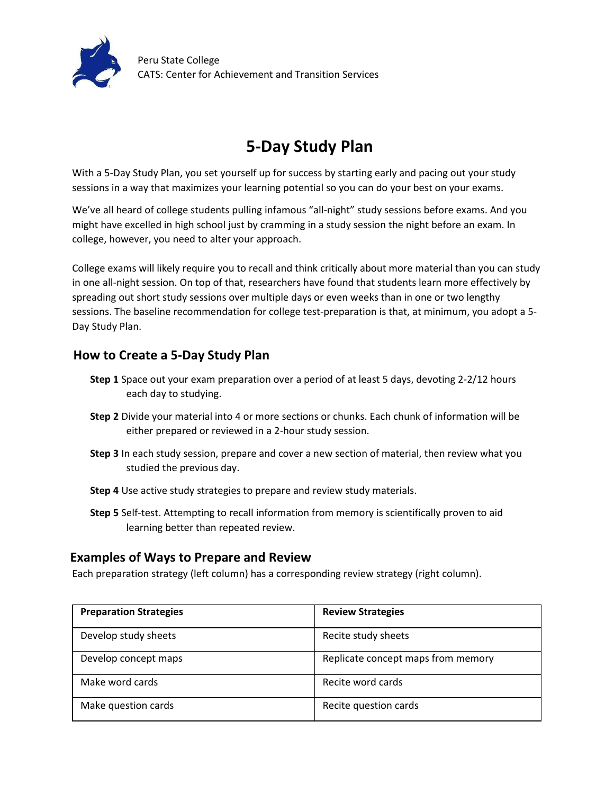

# **5-Day Study Plan**

With a 5-Day Study Plan, you set yourself up for success by starting early and pacing out your study sessions in a way that maximizes your learning potential so you can do your best on your exams.

We've all heard of college students pulling infamous "all-night" study sessions before exams. And you might have excelled in high school just by cramming in a study session the night before an exam. In college, however, you need to alter your approach.

College exams will likely require you to recall and think critically about more material than you can study in one all-night session. On top of that, researchers have found that students learn more effectively by spreading out short study sessions over multiple days or even weeks than in one or two lengthy sessions. The baseline recommendation for college test-preparation is that, at minimum, you adopt a 5- Day Study Plan.

### **How to Create a 5-Day Study Plan**

- **Step 1** Space out your exam preparation over a period of at least 5 days, devoting 2-2/12 hours each day to studying.
- **Step 2** Divide your material into 4 or more sections or chunks. Each chunk of information will be either prepared or reviewed in a 2-hour study session.
- **Step 3** In each study session, prepare and cover a new section of material, then review what you studied the previous day.
- **Step 4** Use active study strategies to prepare and review study materials.
- **Step 5** Self-test. Attempting to recall information from memory is scientifically proven to aid learning better than repeated review.

#### **Examples of Ways to Prepare and Review**

Each preparation strategy (left column) has a corresponding review strategy (right column).

| <b>Preparation Strategies</b> | <b>Review Strategies</b>           |
|-------------------------------|------------------------------------|
| Develop study sheets          | Recite study sheets                |
| Develop concept maps          | Replicate concept maps from memory |
| Make word cards               | Recite word cards                  |
| Make question cards           | Recite question cards              |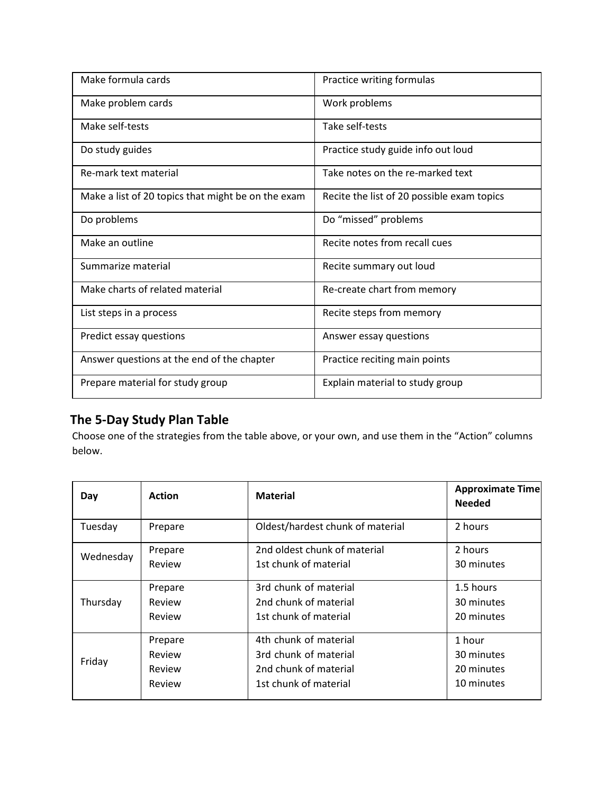| Make formula cards                                 | Practice writing formulas                  |
|----------------------------------------------------|--------------------------------------------|
| Make problem cards                                 | Work problems                              |
| Make self-tests                                    | Take self-tests                            |
| Do study guides                                    | Practice study guide info out loud         |
| Re-mark text material                              | Take notes on the re-marked text           |
| Make a list of 20 topics that might be on the exam | Recite the list of 20 possible exam topics |
| Do problems                                        | Do "missed" problems                       |
| Make an outline                                    | Recite notes from recall cues              |
| Summarize material                                 | Recite summary out loud                    |
| Make charts of related material                    | Re-create chart from memory                |
| List steps in a process                            | Recite steps from memory                   |
| Predict essay questions                            | Answer essay questions                     |
| Answer questions at the end of the chapter         | Practice reciting main points              |
| Prepare material for study group                   | Explain material to study group            |

## **The 5-Day Study Plan Table**

Choose one of the strategies from the table above, or your own, and use them in the "Action" columns below.

| Day       | <b>Action</b> | <b>Material</b>                  | <b>Approximate Time</b><br><b>Needed</b> |
|-----------|---------------|----------------------------------|------------------------------------------|
| Tuesday   | Prepare       | Oldest/hardest chunk of material | 2 hours                                  |
| Wednesday | Prepare       | 2nd oldest chunk of material     | 2 hours                                  |
|           | Review        | 1st chunk of material            | 30 minutes                               |
| Thursday  | Prepare       | 3rd chunk of material            | 1.5 hours                                |
|           | Review        | 2nd chunk of material            | 30 minutes                               |
|           | Review        | 1st chunk of material            | 20 minutes                               |
| Friday    | Prepare       | 4th chunk of material            | 1 hour                                   |
|           | Review        | 3rd chunk of material            | 30 minutes                               |
|           | Review        | 2nd chunk of material            | 20 minutes                               |
|           | Review        | 1st chunk of material            | 10 minutes                               |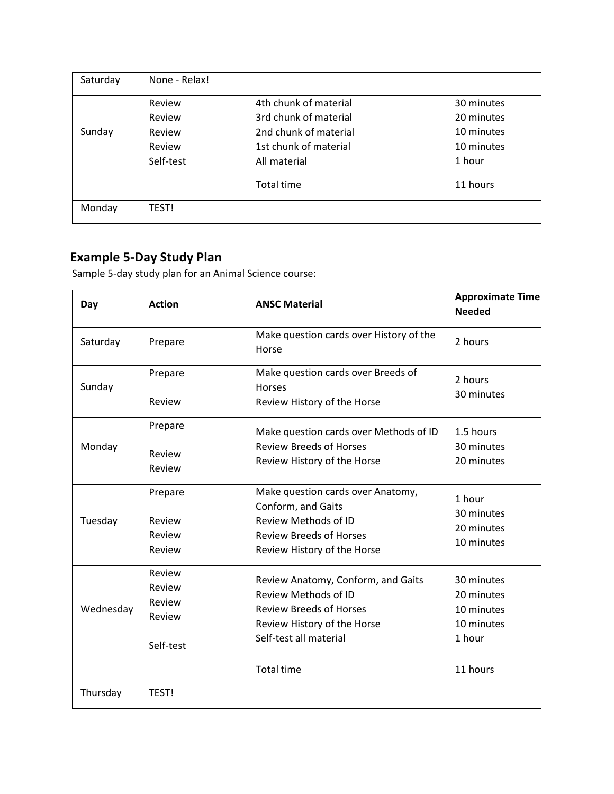| Saturday | None - Relax! |                       |            |
|----------|---------------|-----------------------|------------|
|          | Review        | 4th chunk of material | 30 minutes |
|          | Review        | 3rd chunk of material | 20 minutes |
| Sunday   | Review        | 2nd chunk of material | 10 minutes |
|          | Review        | 1st chunk of material | 10 minutes |
|          | Self-test     | All material          | 1 hour     |
|          |               | <b>Total time</b>     | 11 hours   |
| Monday   | TEST!         |                       |            |

## **Example 5-Day Study Plan**

Sample 5-day study plan for an Animal Science course:

| Day       | <b>Action</b>                                     | <b>ANSC Material</b>                                                                                                                                         | <b>Approximate Time</b><br><b>Needed</b>                       |
|-----------|---------------------------------------------------|--------------------------------------------------------------------------------------------------------------------------------------------------------------|----------------------------------------------------------------|
| Saturday  | Prepare                                           | Make question cards over History of the<br>Horse                                                                                                             | 2 hours                                                        |
| Sunday    | Prepare<br>Review                                 | Make question cards over Breeds of<br><b>Horses</b><br>Review History of the Horse                                                                           | 2 hours<br>30 minutes                                          |
| Monday    | Prepare<br>Review<br>Review                       | Make question cards over Methods of ID<br><b>Review Breeds of Horses</b><br>Review History of the Horse                                                      | 1.5 hours<br>30 minutes<br>20 minutes                          |
| Tuesday   | Prepare<br>Review<br>Review<br>Review             | Make question cards over Anatomy,<br>Conform, and Gaits<br>Review Methods of ID<br><b>Review Breeds of Horses</b><br>Review History of the Horse             | 1 hour<br>30 minutes<br>20 minutes<br>10 minutes               |
| Wednesday | Review<br>Review<br>Review<br>Review<br>Self-test | Review Anatomy, Conform, and Gaits<br><b>Review Methods of ID</b><br><b>Review Breeds of Horses</b><br>Review History of the Horse<br>Self-test all material | 30 minutes<br>20 minutes<br>10 minutes<br>10 minutes<br>1 hour |
| Thursday  | TEST!                                             | <b>Total time</b>                                                                                                                                            | 11 hours                                                       |